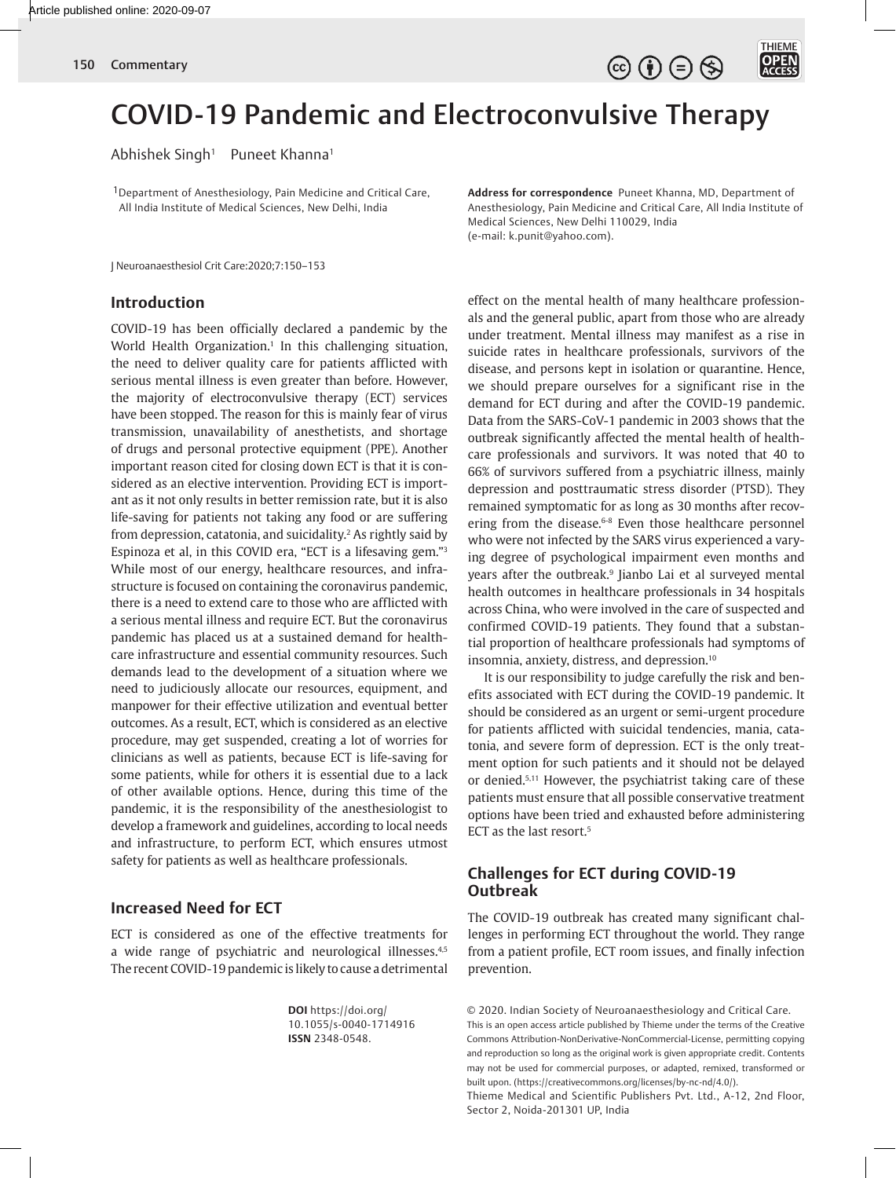THIEME<br>**OPEN**  $\circledcirc$   $\oplus$   $\circledcirc$ 

# COVID-19 Pandemic and Electroconvulsive Therapy

Abhishek Singh<sup>1</sup> Puneet Khanna<sup>1</sup>

<sup>1</sup> Department of Anesthesiology, Pain Medicine and Critical Care, All India Institute of Medical Sciences, New Delhi, India

J Neuroanaesthesiol Crit Care:2020;7:150–153

# **Introduction**

COVID-19 has been officially declared a pandemic by the World Health Organization.<sup>1</sup> In this challenging situation, the need to deliver quality care for patients afflicted with serious mental illness is even greater than before. However, the majority of electroconvulsive therapy (ECT) services have been stopped. The reason for this is mainly fear of virus transmission, unavailability of anesthetists, and shortage of drugs and personal protective equipment (PPE). Another important reason cited for closing down ECT is that it is considered as an elective intervention. Providing ECT is important as it not only results in better remission rate, but it is also life-saving for patients not taking any food or are suffering from depression, catatonia, and suicidality.2 As rightly said by Espinoza et al, in this COVID era, "ECT is a lifesaving gem."3 While most of our energy, healthcare resources, and infrastructure is focused on containing the coronavirus pandemic, there is a need to extend care to those who are afflicted with a serious mental illness and require ECT. But the coronavirus pandemic has placed us at a sustained demand for healthcare infrastructure and essential community resources. Such demands lead to the development of a situation where we need to judiciously allocate our resources, equipment, and manpower for their effective utilization and eventual better outcomes. As a result, ECT, which is considered as an elective procedure, may get suspended, creating a lot of worries for clinicians as well as patients, because ECT is life-saving for some patients, while for others it is essential due to a lack of other available options. Hence, during this time of the pandemic, it is the responsibility of the anesthesiologist to develop a framework and guidelines, according to local needs and infrastructure, to perform ECT, which ensures utmost safety for patients as well as healthcare professionals.

# **Increased Need for ECT**

ECT is considered as one of the effective treatments for a wide range of psychiatric and neurological illnesses.4,5 The recent COVID-19 pandemic is likely to cause a detrimental

> **DOI** https://doi.org/ 10.1055/s-0040-1714916 **ISSN** 2348-0548.

**Address for correspondence** Puneet Khanna, MD, Department of Anesthesiology, Pain Medicine and Critical Care, All India Institute of Medical Sciences, New Delhi 110029, India (e-mail: k.punit@yahoo.com).

effect on the mental health of many healthcare professionals and the general public, apart from those who are already under treatment. Mental illness may manifest as a rise in suicide rates in healthcare professionals, survivors of the disease, and persons kept in isolation or quarantine. Hence, we should prepare ourselves for a significant rise in the demand for ECT during and after the COVID-19 pandemic. Data from the SARS-CoV-1 pandemic in 2003 shows that the outbreak significantly affected the mental health of healthcare professionals and survivors. It was noted that 40 to 66% of survivors suffered from a psychiatric illness, mainly depression and posttraumatic stress disorder (PTSD). They remained symptomatic for as long as 30 months after recovering from the disease.<sup>6-8</sup> Even those healthcare personnel who were not infected by the SARS virus experienced a varying degree of psychological impairment even months and years after the outbreak.9 Jianbo Lai et al surveyed mental health outcomes in healthcare professionals in 34 hospitals across China, who were involved in the care of suspected and confirmed COVID-19 patients. They found that a substantial proportion of healthcare professionals had symptoms of insomnia, anxiety, distress, and depression.<sup>10</sup>

It is our responsibility to judge carefully the risk and benefits associated with ECT during the COVID-19 pandemic. It should be considered as an urgent or semi-urgent procedure for patients afflicted with suicidal tendencies, mania, catatonia, and severe form of depression. ECT is the only treatment option for such patients and it should not be delayed or denied.5,11 However, the psychiatrist taking care of these patients must ensure that all possible conservative treatment options have been tried and exhausted before administering ECT as the last resort.5

# **Challenges for ECT during COVID-19 Outbreak**

The COVID-19 outbreak has created many significant challenges in performing ECT throughout the world. They range from a patient profile, ECT room issues, and finally infection prevention.

© 2020. Indian Society of Neuroanaesthesiology and Critical Care. This is an open access article published by Thieme under the terms of the Creative Commons Attribution-NonDerivative-NonCommercial-License, permitting copying and reproduction so long as the original work is given appropriate credit. Contents may not be used for commercial purposes, or adapted, remixed, transformed or built upon. (https://creativecommons.org/licenses/by-nc-nd/4.0/).

Thieme Medical and Scientific Publishers Pvt. Ltd., A-12, 2nd Floor, Sector 2, Noida-201301 UP, India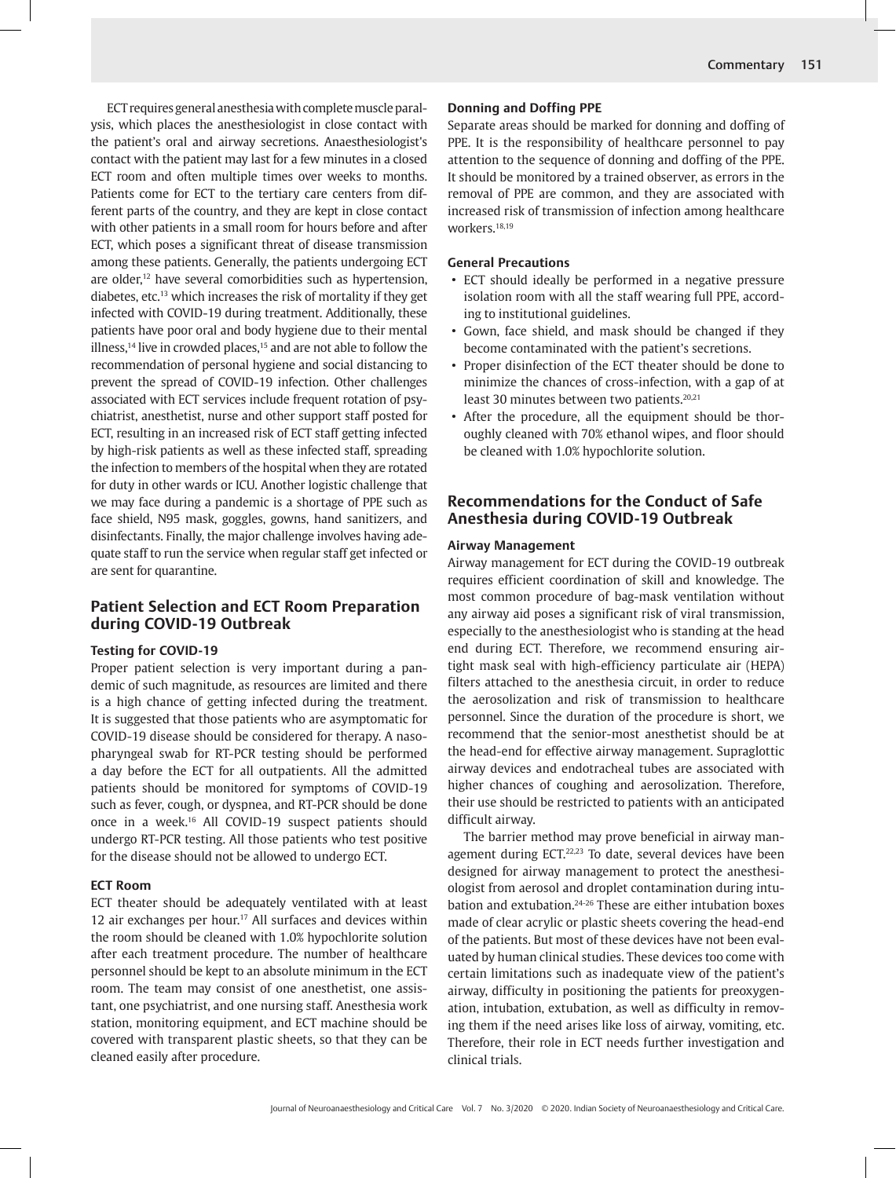ECT requires general anesthesia with complete muscle paralysis, which places the anesthesiologist in close contact with the patient's oral and airway secretions. Anaesthesiologist's contact with the patient may last for a few minutes in a closed ECT room and often multiple times over weeks to months. Patients come for ECT to the tertiary care centers from different parts of the country, and they are kept in close contact with other patients in a small room for hours before and after ECT, which poses a significant threat of disease transmission among these patients. Generally, the patients undergoing ECT are older,12 have several comorbidities such as hypertension, diabetes, etc.13 which increases the risk of mortality if they get infected with COVID-19 during treatment. Additionally, these patients have poor oral and body hygiene due to their mental illness,<sup>14</sup> live in crowded places,<sup>15</sup> and are not able to follow the recommendation of personal hygiene and social distancing to prevent the spread of COVID-19 infection. Other challenges associated with ECT services include frequent rotation of psychiatrist, anesthetist, nurse and other support staff posted for ECT, resulting in an increased risk of ECT staff getting infected by high-risk patients as well as these infected staff, spreading the infection to members of the hospital when they are rotated for duty in other wards or ICU. Another logistic challenge that we may face during a pandemic is a shortage of PPE such as face shield, N95 mask, goggles, gowns, hand sanitizers, and disinfectants. Finally, the major challenge involves having adequate staff to run the service when regular staff get infected or are sent for quarantine.

## **Patient Selection and ECT Room Preparation during COVID-19 Outbreak**

## **Testing for COVID-19**

Proper patient selection is very important during a pandemic of such magnitude, as resources are limited and there is a high chance of getting infected during the treatment. It is suggested that those patients who are asymptomatic for COVID-19 disease should be considered for therapy. A nasopharyngeal swab for RT-PCR testing should be performed a day before the ECT for all outpatients. All the admitted patients should be monitored for symptoms of COVID-19 such as fever, cough, or dyspnea, and RT-PCR should be done once in a week.16 All COVID-19 suspect patients should undergo RT-PCR testing. All those patients who test positive for the disease should not be allowed to undergo ECT.

#### **ECT Room**

ECT theater should be adequately ventilated with at least 12 air exchanges per hour.<sup>17</sup> All surfaces and devices within the room should be cleaned with 1.0% hypochlorite solution after each treatment procedure. The number of healthcare personnel should be kept to an absolute minimum in the ECT room. The team may consist of one anesthetist, one assistant, one psychiatrist, and one nursing staff. Anesthesia work station, monitoring equipment, and ECT machine should be covered with transparent plastic sheets, so that they can be cleaned easily after procedure.

### **Donning and Doffing PPE**

Separate areas should be marked for donning and doffing of PPE. It is the responsibility of healthcare personnel to pay attention to the sequence of donning and doffing of the PPE. It should be monitored by a trained observer, as errors in the removal of PPE are common, and they are associated with increased risk of transmission of infection among healthcare workers.<sup>18,19</sup>

#### **General Precautions**

- ECT should ideally be performed in a negative pressure isolation room with all the staff wearing full PPE, according to institutional guidelines.
- Gown, face shield, and mask should be changed if they become contaminated with the patient's secretions.
- Proper disinfection of the ECT theater should be done to minimize the chances of cross-infection, with a gap of at least 30 minutes between two patients.<sup>20,21</sup>
- After the procedure, all the equipment should be thoroughly cleaned with 70% ethanol wipes, and floor should be cleaned with 1.0% hypochlorite solution.

# **Recommendations for the Conduct of Safe Anesthesia during COVID-19 Outbreak**

#### **Airway Management**

Airway management for ECT during the COVID-19 outbreak requires efficient coordination of skill and knowledge. The most common procedure of bag-mask ventilation without any airway aid poses a significant risk of viral transmission, especially to the anesthesiologist who is standing at the head end during ECT. Therefore, we recommend ensuring airtight mask seal with high-efficiency particulate air (HEPA) filters attached to the anesthesia circuit, in order to reduce the aerosolization and risk of transmission to healthcare personnel. Since the duration of the procedure is short, we recommend that the senior-most anesthetist should be at the head-end for effective airway management. Supraglottic airway devices and endotracheal tubes are associated with higher chances of coughing and aerosolization. Therefore, their use should be restricted to patients with an anticipated difficult airway.

The barrier method may prove beneficial in airway management during ECT.<sup>22,23</sup> To date, several devices have been designed for airway management to protect the anesthesiologist from aerosol and droplet contamination during intubation and extubation.24-26 These are either intubation boxes made of clear acrylic or plastic sheets covering the head-end of the patients. But most of these devices have not been evaluated by human clinical studies. These devices too come with certain limitations such as inadequate view of the patient's airway, difficulty in positioning the patients for preoxygenation, intubation, extubation, as well as difficulty in removing them if the need arises like loss of airway, vomiting, etc. Therefore, their role in ECT needs further investigation and clinical trials.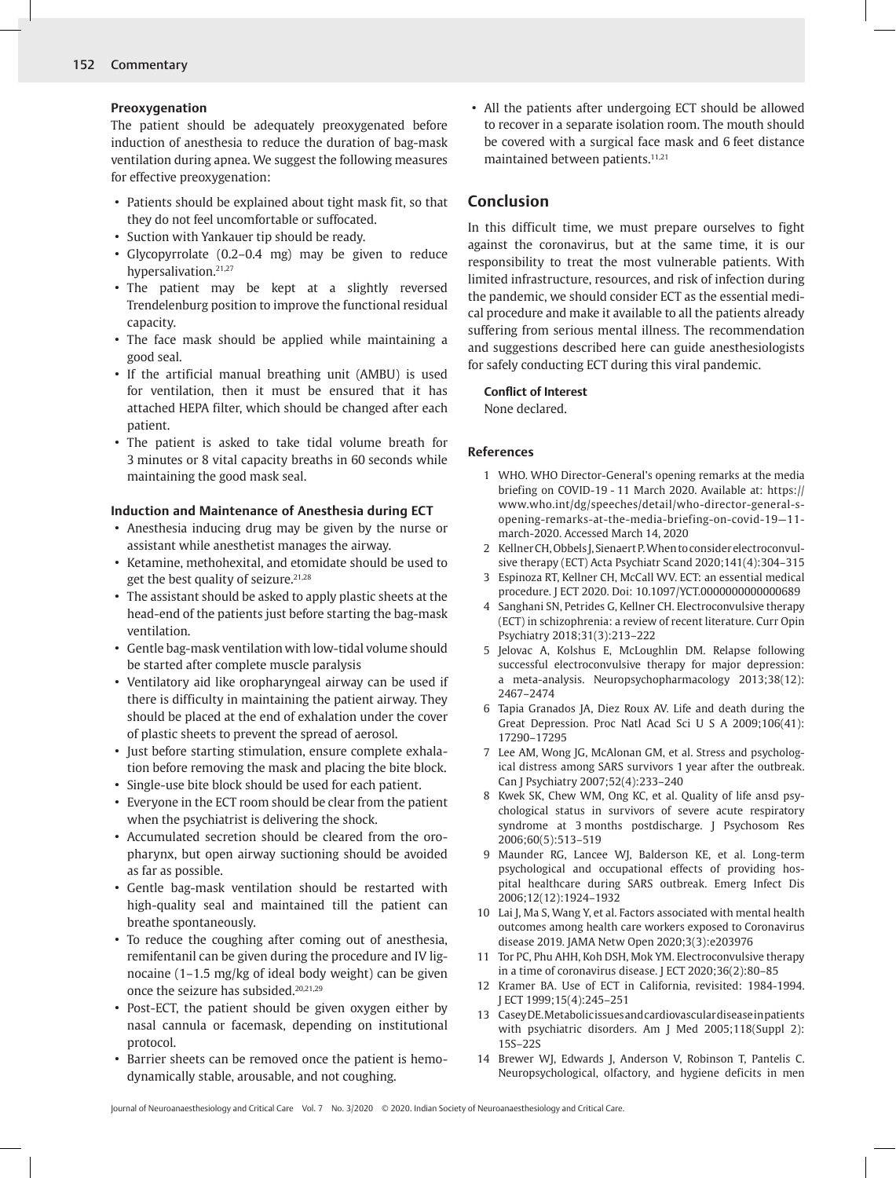## **Preoxygenation**

The patient should be adequately preoxygenated before induction of anesthesia to reduce the duration of bag-mask ventilation during apnea. We suggest the following measures for effective preoxygenation:

- Patients should be explained about tight mask fit, so that they do not feel uncomfortable or suffocated.
- Suction with Yankauer tip should be ready.
- Glycopyrrolate (0.2–0.4 mg) may be given to reduce hypersalivation.<sup>21,27</sup>
- The patient may be kept at a slightly reversed Trendelenburg position to improve the functional residual capacity.
- The face mask should be applied while maintaining a good seal.
- If the artificial manual breathing unit (AMBU) is used for ventilation, then it must be ensured that it has attached HEPA filter, which should be changed after each patient.
- The patient is asked to take tidal volume breath for 3 minutes or 8 vital capacity breaths in 60 seconds while maintaining the good mask seal.

## **Induction and Maintenance of Anesthesia during ECT**

- Anesthesia inducing drug may be given by the nurse or assistant while anesthetist manages the airway.
- Ketamine, methohexital, and etomidate should be used to get the best quality of seizure.<sup>21,28</sup>
- The assistant should be asked to apply plastic sheets at the head-end of the patients just before starting the bag-mask ventilation.
- Gentle bag-mask ventilation with low-tidal volume should be started after complete muscle paralysis
- Ventilatory aid like oropharyngeal airway can be used if there is difficulty in maintaining the patient airway. They should be placed at the end of exhalation under the cover of plastic sheets to prevent the spread of aerosol.
- Just before starting stimulation, ensure complete exhalation before removing the mask and placing the bite block.
- Single-use bite block should be used for each patient.
- Everyone in the ECT room should be clear from the patient when the psychiatrist is delivering the shock.
- Accumulated secretion should be cleared from the oropharynx, but open airway suctioning should be avoided as far as possible.
- Gentle bag-mask ventilation should be restarted with high-quality seal and maintained till the patient can breathe spontaneously.
- To reduce the coughing after coming out of anesthesia, remifentanil can be given during the procedure and IV lignocaine (1–1.5 mg/kg of ideal body weight) can be given once the seizure has subsided.20,21,29
- Post-ECT, the patient should be given oxygen either by nasal cannula or facemask, depending on institutional protocol.
- Barrier sheets can be removed once the patient is hemodynamically stable, arousable, and not coughing.

• All the patients after undergoing ECT should be allowed to recover in a separate isolation room. The mouth should be covered with a surgical face mask and 6 feet distance maintained between patients.<sup>11,21</sup>

# **Conclusion**

In this difficult time, we must prepare ourselves to fight against the coronavirus, but at the same time, it is our responsibility to treat the most vulnerable patients. With limited infrastructure, resources, and risk of infection during the pandemic, we should consider ECT as the essential medical procedure and make it available to all the patients already suffering from serious mental illness. The recommendation and suggestions described here can guide anesthesiologists for safely conducting ECT during this viral pandemic.

## **Conflict of Interest**

None declared.

## **References**

- 1 WHO. WHO Director-General's opening remarks at the media briefing on COVID-19 - 11 March 2020. Available at: https:// www.who.int/dg/speeches/detail/who-director-general-sopening-remarks-at-the-media-briefing-on-covid-19—11 march-2020. Accessed March 14, 2020
- 2 Kellner CH, Obbels J, Sienaert P. When to consider electroconvulsive therapy (ECT) Acta Psychiatr Scand 2020;141(4):304–315
- 3 Espinoza RT, Kellner CH, McCall WV. ECT: an essential medical procedure. J ECT 2020. Doi: 10.1097/YCT.0000000000000689
- 4 Sanghani SN, Petrides G, Kellner CH. Electroconvulsive therapy (ECT) in schizophrenia: a review of recent literature. Curr Opin Psychiatry 2018;31(3):213–222
- 5 Jelovac A, Kolshus E, McLoughlin DM. Relapse following successful electroconvulsive therapy for major depression: a meta-analysis. Neuropsychopharmacology 2013;38(12): 2467–2474
- 6 Tapia Granados JA, Diez Roux AV. Life and death during the Great Depression. Proc Natl Acad Sci U S A 2009;106(41): 17290–17295
- 7 Lee AM, Wong JG, McAlonan GM, et al. Stress and psychological distress among SARS survivors 1 year after the outbreak. Can J Psychiatry 2007;52(4):233–240
- 8 Kwek SK, Chew WM, Ong KC, et al. Quality of life ansd psychological status in survivors of severe acute respiratory syndrome at 3 months postdischarge. J Psychosom Res 2006;60(5):513–519
- 9 Maunder RG, Lancee WJ, Balderson KE, et al. Long-term psychological and occupational effects of providing hospital healthcare during SARS outbreak. Emerg Infect Dis 2006;12(12):1924–1932
- 10 Lai J, Ma S, Wang Y, et al. Factors associated with mental health outcomes among health care workers exposed to Coronavirus disease 2019. JAMA Netw Open 2020;3(3):e203976
- 11 Tor PC, Phu AHH, Koh DSH, Mok YM. Electroconvulsive therapy in a time of coronavirus disease. J ECT 2020;36(2):80–85
- 12 Kramer BA. Use of ECT in California, revisited: 1984-1994. J ECT 1999;15(4):245–251
- 13 Casey DE. Metabolic issues and cardiovascular disease in patients with psychiatric disorders. Am J Med 2005;118(Suppl 2): 15S–22S
- 14 Brewer WJ, Edwards J, Anderson V, Robinson T, Pantelis C. Neuropsychological, olfactory, and hygiene deficits in men